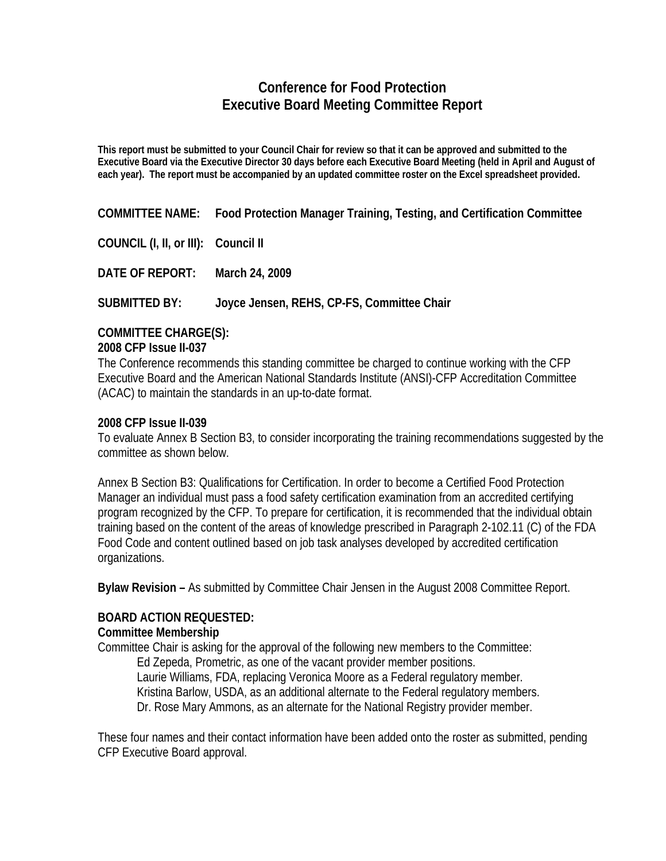# **Conference for Food Protection Executive Board Meeting Committee Report**

**This report must be submitted to your Council Chair for review so that it can be approved and submitted to the Executive Board via the Executive Director 30 days before each Executive Board Meeting (held in April and August of each year). The report must be accompanied by an updated committee roster on the Excel spreadsheet provided.** 

**COMMITTEE NAME: Food Protection Manager Training, Testing, and Certification Committee** 

**COUNCIL (I, II, or III): Council II** 

**DATE OF REPORT: March 24, 2009**

**SUBMITTED BY: Joyce Jensen, REHS, CP-FS, Committee Chair** 

### **COMMITTEE CHARGE(S):**

#### **2008 CFP Issue II-037**

The Conference recommends this standing committee be charged to continue working with the CFP Executive Board and the American National Standards Institute (ANSI)-CFP Accreditation Committee (ACAC) to maintain the standards in an up-to-date format.

### **2008 CFP Issue II-039**

To evaluate Annex B Section B3, to consider incorporating the training recommendations suggested by the committee as shown below.

Annex B Section B3: Qualifications for Certification. In order to become a Certified Food Protection Manager an individual must pass a food safety certification examination from an accredited certifying program recognized by the CFP. To prepare for certification, it is recommended that the individual obtain training based on the content of the areas of knowledge prescribed in Paragraph 2-102.11 (C) of the FDA Food Code and content outlined based on job task analyses developed by accredited certification organizations.

**Bylaw Revision –** As submitted by Committee Chair Jensen in the August 2008 Committee Report.

### **BOARD ACTION REQUESTED:**

### **Committee Membership**

Committee Chair is asking for the approval of the following new members to the Committee:

Ed Zepeda, Prometric, as one of the vacant provider member positions. Laurie Williams, FDA, replacing Veronica Moore as a Federal regulatory member. Kristina Barlow, USDA, as an additional alternate to the Federal regulatory members. Dr. Rose Mary Ammons, as an alternate for the National Registry provider member.

These four names and their contact information have been added onto the roster as submitted, pending CFP Executive Board approval.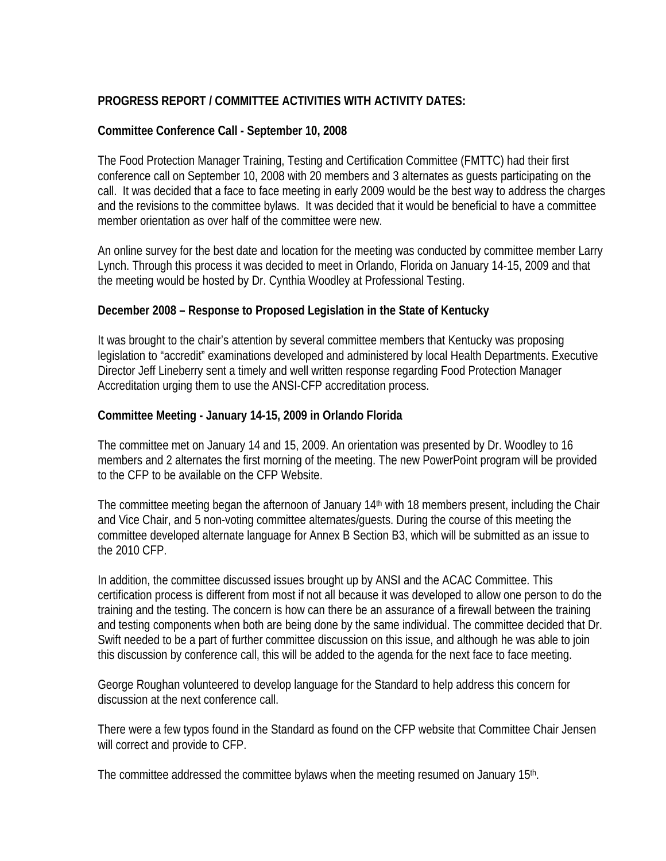## **PROGRESS REPORT / COMMITTEE ACTIVITIES WITH ACTIVITY DATES:**

## **Committee Conference Call - September 10, 2008**

The Food Protection Manager Training, Testing and Certification Committee (FMTTC) had their first conference call on September 10, 2008 with 20 members and 3 alternates as guests participating on the call. It was decided that a face to face meeting in early 2009 would be the best way to address the charges and the revisions to the committee bylaws. It was decided that it would be beneficial to have a committee member orientation as over half of the committee were new.

An online survey for the best date and location for the meeting was conducted by committee member Larry Lynch. Through this process it was decided to meet in Orlando, Florida on January 14-15, 2009 and that the meeting would be hosted by Dr. Cynthia Woodley at Professional Testing.

## **December 2008 – Response to Proposed Legislation in the State of Kentucky**

It was brought to the chair's attention by several committee members that Kentucky was proposing legislation to "accredit" examinations developed and administered by local Health Departments. Executive Director Jeff Lineberry sent a timely and well written response regarding Food Protection Manager Accreditation urging them to use the ANSI-CFP accreditation process.

## **Committee Meeting - January 14-15, 2009 in Orlando Florida**

The committee met on January 14 and 15, 2009. An orientation was presented by Dr. Woodley to 16 members and 2 alternates the first morning of the meeting. The new PowerPoint program will be provided to the CFP to be available on the CFP Website.

The committee meeting began the afternoon of January 14<sup>th</sup> with 18 members present, including the Chair and Vice Chair, and 5 non-voting committee alternates/guests. During the course of this meeting the committee developed alternate language for Annex B Section B3, which will be submitted as an issue to the 2010 CFP.

In addition, the committee discussed issues brought up by ANSI and the ACAC Committee. This certification process is different from most if not all because it was developed to allow one person to do the training and the testing. The concern is how can there be an assurance of a firewall between the training and testing components when both are being done by the same individual. The committee decided that Dr. Swift needed to be a part of further committee discussion on this issue, and although he was able to join this discussion by conference call, this will be added to the agenda for the next face to face meeting.

George Roughan volunteered to develop language for the Standard to help address this concern for discussion at the next conference call.

There were a few typos found in the Standard as found on the CFP website that Committee Chair Jensen will correct and provide to CFP.

The committee addressed the committee bylaws when the meeting resumed on January 15<sup>th</sup>.